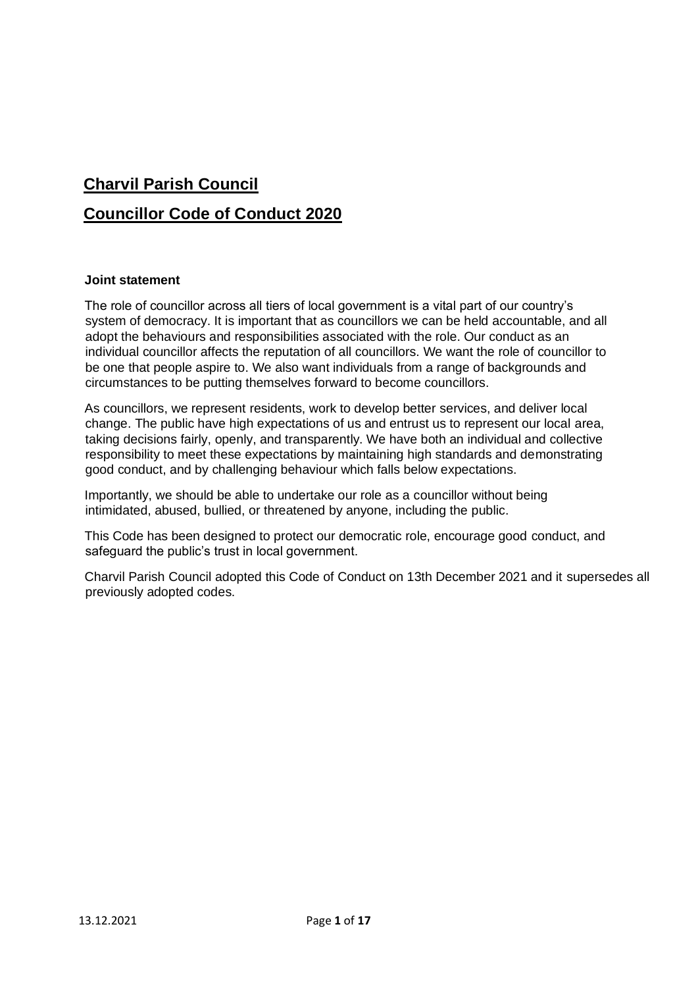# **Charvil Parish Council Councillor Code of Conduct 2020**

#### **Joint statement**

The role of councillor across all tiers of local government is a vital part of our country's system of democracy. It is important that as councillors we can be held accountable, and all adopt the behaviours and responsibilities associated with the role. Our conduct as an individual councillor affects the reputation of all councillors. We want the role of councillor to be one that people aspire to. We also want individuals from a range of backgrounds and circumstances to be putting themselves forward to become councillors.

As councillors, we represent residents, work to develop better services, and deliver local change. The public have high expectations of us and entrust us to represent our local area, taking decisions fairly, openly, and transparently. We have both an individual and collective responsibility to meet these expectations by maintaining high standards and demonstrating good conduct, and by challenging behaviour which falls below expectations.

Importantly, we should be able to undertake our role as a councillor without being intimidated, abused, bullied, or threatened by anyone, including the public.

This Code has been designed to protect our democratic role, encourage good conduct, and safeguard the public's trust in local government.

Charvil Parish Council adopted this Code of Conduct on 13th December 2021 and it supersedes all previously adopted codes.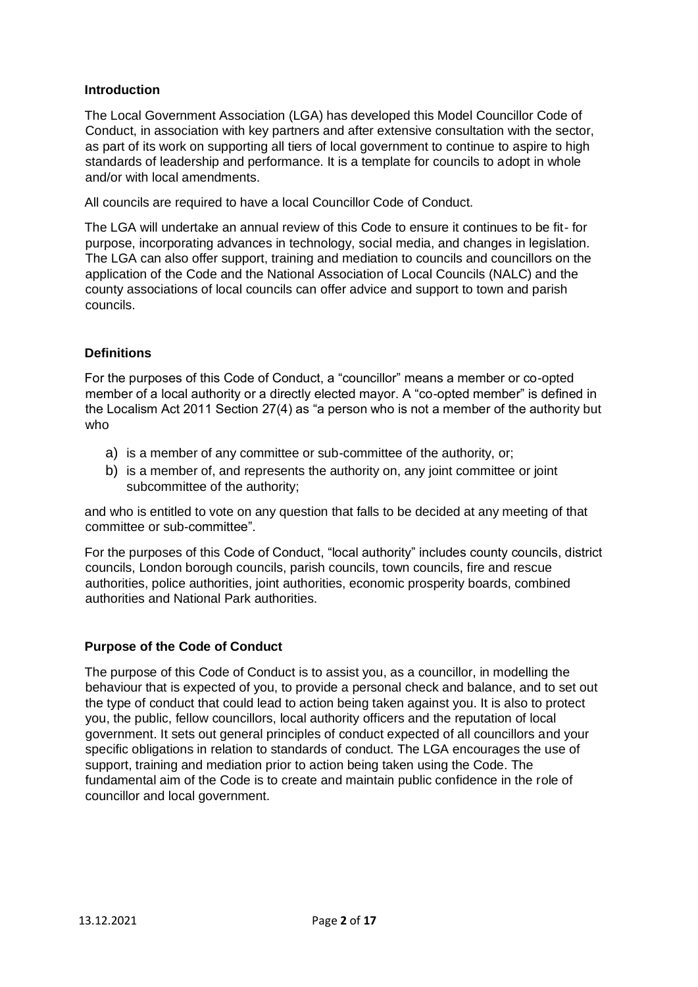## **Introduction**

The Local Government Association (LGA) has developed this Model Councillor Code of Conduct, in association with key partners and after extensive consultation with the sector, as part of its work on supporting all tiers of local government to continue to aspire to high standards of leadership and performance. It is a template for councils to adopt in whole and/or with local amendments.

All councils are required to have a local Councillor Code of Conduct.

The LGA will undertake an annual review of this Code to ensure it continues to be fit- for purpose, incorporating advances in technology, social media, and changes in legislation. The LGA can also offer support, training and mediation to councils and councillors on the application of the Code and the National Association of Local Councils (NALC) and the county associations of local councils can offer advice and support to town and parish councils.

# **Definitions**

For the purposes of this Code of Conduct, a "councillor" means a member or co-opted member of a local authority or a directly elected mayor. A "co-opted member" is defined in the Localism Act 2011 Section 27(4) as "a person who is not a member of the authority but who

- a) is a member of any committee or sub-committee of the authority, or;
- b) is a member of, and represents the authority on, any joint committee or joint subcommittee of the authority;

and who is entitled to vote on any question that falls to be decided at any meeting of that committee or sub-committee".

For the purposes of this Code of Conduct, "local authority" includes county councils, district councils, London borough councils, parish councils, town councils, fire and rescue authorities, police authorities, joint authorities, economic prosperity boards, combined authorities and National Park authorities.

# **Purpose of the Code of Conduct**

The purpose of this Code of Conduct is to assist you, as a councillor, in modelling the behaviour that is expected of you, to provide a personal check and balance, and to set out the type of conduct that could lead to action being taken against you. It is also to protect you, the public, fellow councillors, local authority officers and the reputation of local government. It sets out general principles of conduct expected of all councillors and your specific obligations in relation to standards of conduct. The LGA encourages the use of support, training and mediation prior to action being taken using the Code. The fundamental aim of the Code is to create and maintain public confidence in the role of councillor and local government.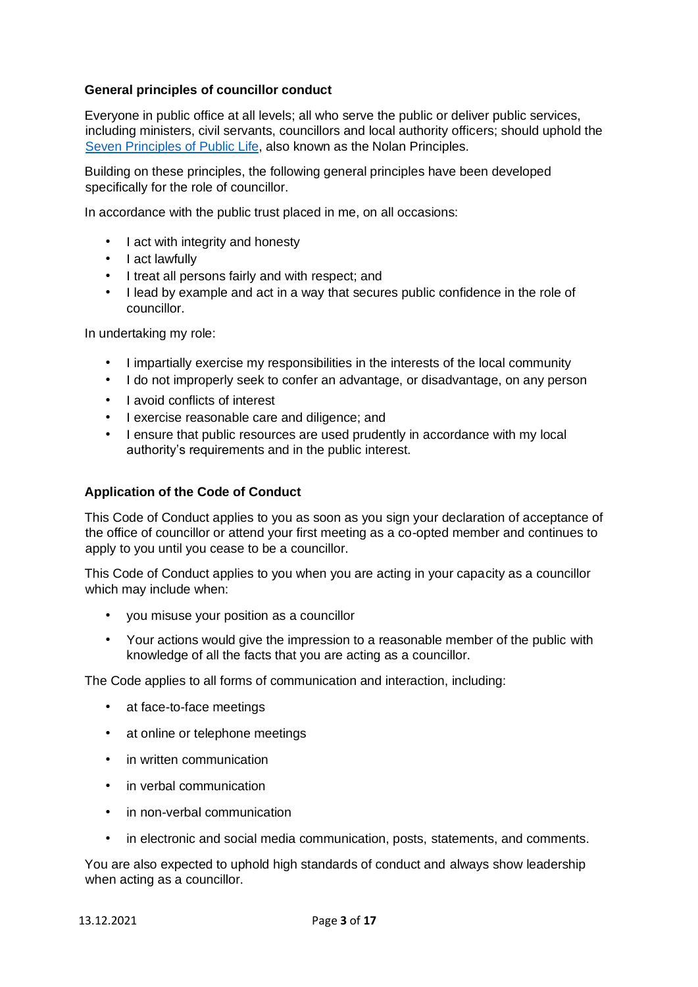## **General principles of councillor conduct**

Everyone in public office at all levels; all who serve the public or deliver public services, including ministers, civil servants, councillors and local authority officers; should uphold the [Seven](https://www.gov.uk/government/publications/the-7-principles-of-public-life/the-7-principles-of-public-life--2) [Principles](https://www.gov.uk/government/publications/the-7-principles-of-public-life/the-7-principles-of-public-life--2) [of](https://www.gov.uk/government/publications/the-7-principles-of-public-life/the-7-principles-of-public-life--2) [Public](https://www.gov.uk/government/publications/the-7-principles-of-public-life/the-7-principles-of-public-life--2) [Life,](https://www.gov.uk/government/publications/the-7-principles-of-public-life/the-7-principles-of-public-life--2) also known as the Nolan Principles.

Building on these principles, the following general principles have been developed specifically for the role of councillor.

In accordance with the public trust placed in me, on all occasions:

- I act with integrity and honesty
- I act lawfully
- I treat all persons fairly and with respect; and
- I lead by example and act in a way that secures public confidence in the role of councillor.

In undertaking my role:

- I impartially exercise my responsibilities in the interests of the local community
- I do not improperly seek to confer an advantage, or disadvantage, on any person
- I avoid conflicts of interest
- I exercise reasonable care and diligence; and
- I ensure that public resources are used prudently in accordance with my local authority's requirements and in the public interest.

#### **Application of the Code of Conduct**

This Code of Conduct applies to you as soon as you sign your declaration of acceptance of the office of councillor or attend your first meeting as a co-opted member and continues to apply to you until you cease to be a councillor.

This Code of Conduct applies to you when you are acting in your capacity as a councillor which may include when:

- you misuse your position as a councillor
- Your actions would give the impression to a reasonable member of the public with knowledge of all the facts that you are acting as a councillor.

The Code applies to all forms of communication and interaction, including:

- at face-to-face meetings
- at online or telephone meetings
- in written communication
- in verbal communication
- in non-verbal communication
- in electronic and social media communication, posts, statements, and comments.

You are also expected to uphold high standards of conduct and always show leadership when acting as a councillor.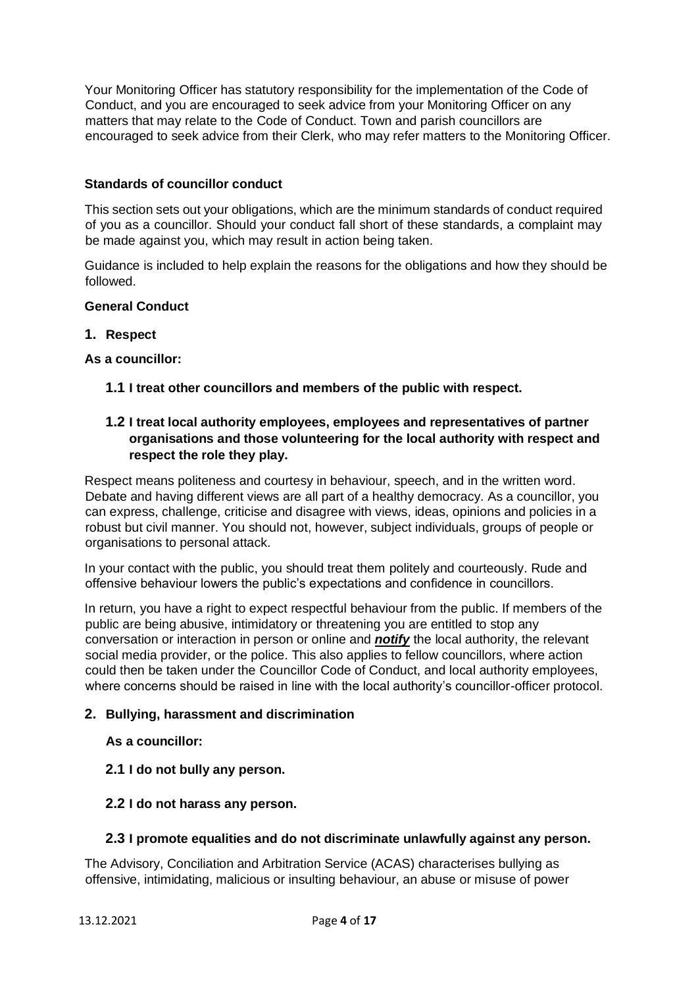Your Monitoring Officer has statutory responsibility for the implementation of the Code of Conduct, and you are encouraged to seek advice from your Monitoring Officer on any matters that may relate to the Code of Conduct. Town and parish councillors are encouraged to seek advice from their Clerk, who may refer matters to the Monitoring Officer.

# **Standards of councillor conduct**

This section sets out your obligations, which are the minimum standards of conduct required of you as a councillor. Should your conduct fall short of these standards, a complaint may be made against you, which may result in action being taken.

Guidance is included to help explain the reasons for the obligations and how they should be followed.

#### **General Conduct**

#### **1. Respect**

#### **As a councillor:**

**1.1 I treat other councillors and members of the public with respect.**

# **1.2 I treat local authority employees, employees and representatives of partner organisations and those volunteering for the local authority with respect and respect the role they play.**

Respect means politeness and courtesy in behaviour, speech, and in the written word. Debate and having different views are all part of a healthy democracy. As a councillor, you can express, challenge, criticise and disagree with views, ideas, opinions and policies in a robust but civil manner. You should not, however, subject individuals, groups of people or organisations to personal attack.

In your contact with the public, you should treat them politely and courteously. Rude and offensive behaviour lowers the public's expectations and confidence in councillors.

In return, you have a right to expect respectful behaviour from the public. If members of the public are being abusive, intimidatory or threatening you are entitled to stop any conversation or interaction in person or online and *notify* the local authority, the relevant social media provider, or the police. This also applies to fellow councillors, where action could then be taken under the Councillor Code of Conduct, and local authority employees, where concerns should be raised in line with the local authority's councillor-officer protocol.

#### **2. Bullying, harassment and discrimination**

#### **As a councillor:**

**2.1 I do not bully any person.**

#### **2.2 I do not harass any person.**

#### **2.3 I promote equalities and do not discriminate unlawfully against any person.**

The Advisory, Conciliation and Arbitration Service (ACAS) characterises bullying as offensive, intimidating, malicious or insulting behaviour, an abuse or misuse of power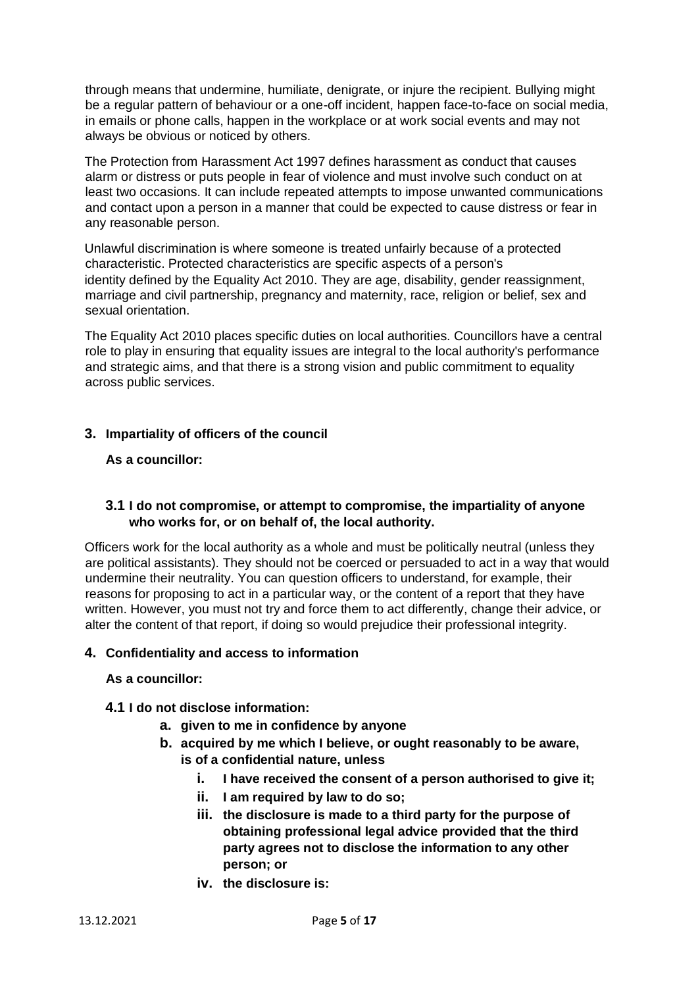through means that undermine, humiliate, denigrate, or injure the recipient. Bullying might be a regular pattern of behaviour or a one-off incident, happen face-to-face on social media, in emails or phone calls, happen in the workplace or at work social events and may not always be obvious or noticed by others.

The Protection from Harassment Act 1997 defines harassment as conduct that causes alarm or distress or puts people in fear of violence and must involve such conduct on at least two occasions. It can include repeated attempts to impose unwanted communications and contact upon a person in a manner that could be expected to cause distress or fear in any reasonable person.

Unlawful discrimination is where someone is treated unfairly because of a protected characteristic. Protected characteristics are specific aspects of a person's identity defined by the Equality Act 2010. They are age, disability, gender reassignment, marriage and civil partnership, pregnancy and maternity, race, religion or belief, sex and sexual orientation.

The Equality Act 2010 places specific duties on local authorities. Councillors have a central role to play in ensuring that equality issues are integral to the local authority's performance and strategic aims, and that there is a strong vision and public commitment to equality across public services.

# **3. Impartiality of officers of the council**

#### **As a councillor:**

# **3.1 I do not compromise, or attempt to compromise, the impartiality of anyone who works for, or on behalf of, the local authority.**

Officers work for the local authority as a whole and must be politically neutral (unless they are political assistants). They should not be coerced or persuaded to act in a way that would undermine their neutrality. You can question officers to understand, for example, their reasons for proposing to act in a particular way, or the content of a report that they have written. However, you must not try and force them to act differently, change their advice, or alter the content of that report, if doing so would prejudice their professional integrity.

#### **4. Confidentiality and access to information**

#### **As a councillor:**

#### **4.1 I do not disclose information:**

- **a. given to me in confidence by anyone**
- **b. acquired by me which I believe, or ought reasonably to be aware, is of a confidential nature, unless**
	- **i. I have received the consent of a person authorised to give it;**
	- **ii. I am required by law to do so;**
	- **iii. the disclosure is made to a third party for the purpose of obtaining professional legal advice provided that the third party agrees not to disclose the information to any other person; or**
	- **iv. the disclosure is:**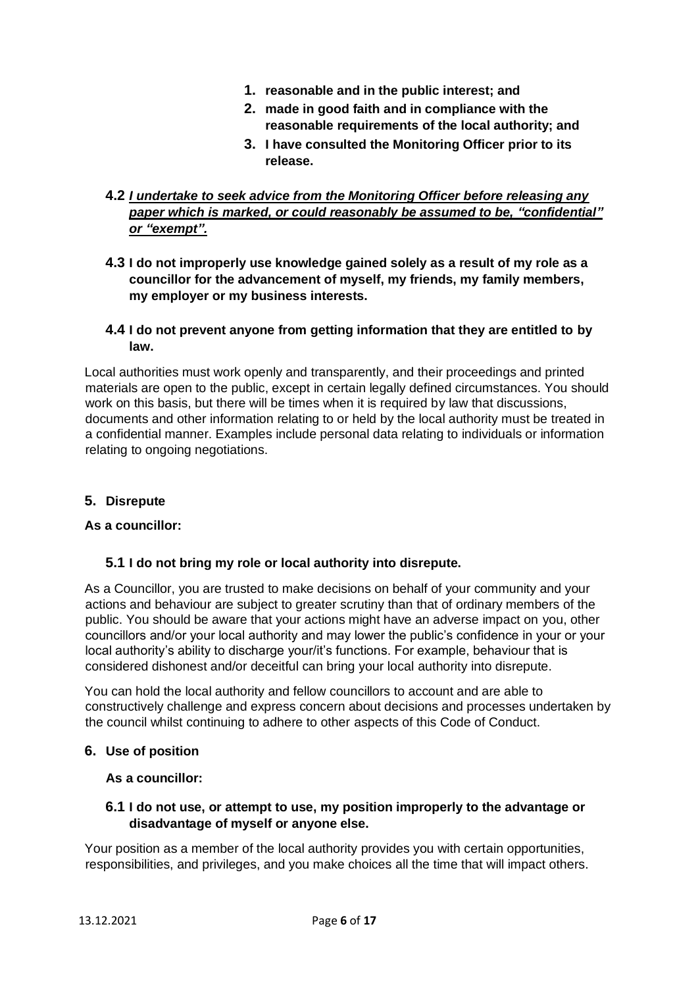- **1. reasonable and in the public interest; and**
- **2. made in good faith and in compliance with the reasonable requirements of the local authority; and**
- **3. I have consulted the Monitoring Officer prior to its release.**

# **4.2** *I undertake to seek advice from the Monitoring Officer before releasing any paper which is marked, or could reasonably be assumed to be, "confidential" or "exempt".*

**4.3 I do not improperly use knowledge gained solely as a result of my role as a councillor for the advancement of myself, my friends, my family members, my employer or my business interests.**

## **4.4 I do not prevent anyone from getting information that they are entitled to by law.**

Local authorities must work openly and transparently, and their proceedings and printed materials are open to the public, except in certain legally defined circumstances. You should work on this basis, but there will be times when it is required by law that discussions, documents and other information relating to or held by the local authority must be treated in a confidential manner. Examples include personal data relating to individuals or information relating to ongoing negotiations.

# **5. Disrepute**

# **As a councillor:**

# **5.1 I do not bring my role or local authority into disrepute.**

As a Councillor, you are trusted to make decisions on behalf of your community and your actions and behaviour are subject to greater scrutiny than that of ordinary members of the public. You should be aware that your actions might have an adverse impact on you, other councillors and/or your local authority and may lower the public's confidence in your or your local authority's ability to discharge your/it's functions. For example, behaviour that is considered dishonest and/or deceitful can bring your local authority into disrepute.

You can hold the local authority and fellow councillors to account and are able to constructively challenge and express concern about decisions and processes undertaken by the council whilst continuing to adhere to other aspects of this Code of Conduct.

#### **6. Use of position**

#### **As a councillor:**

#### **6.1 I do not use, or attempt to use, my position improperly to the advantage or disadvantage of myself or anyone else.**

Your position as a member of the local authority provides you with certain opportunities, responsibilities, and privileges, and you make choices all the time that will impact others.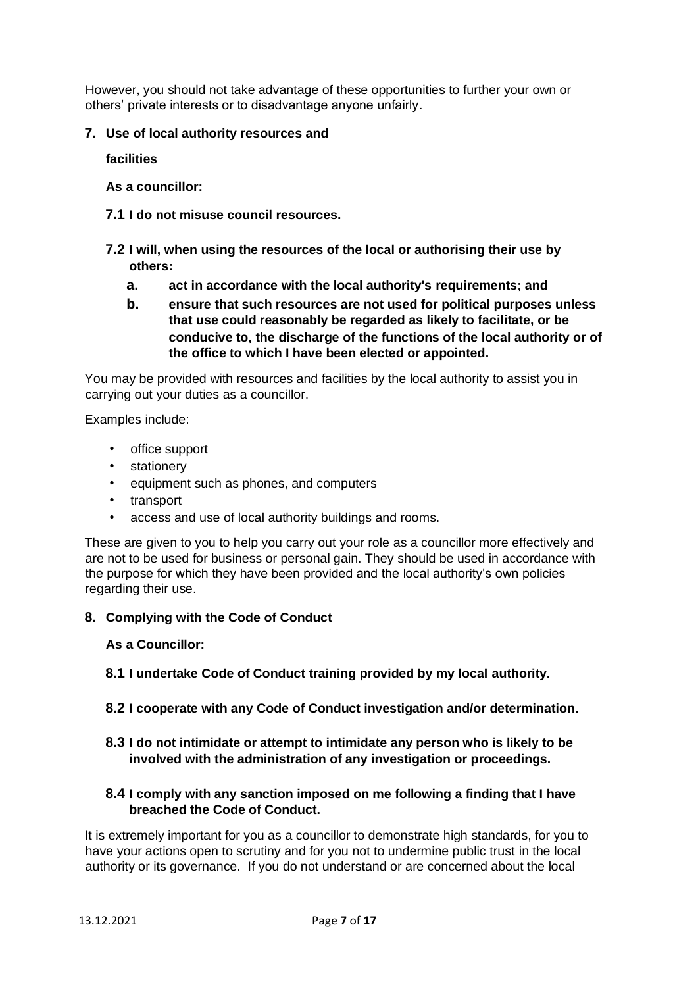However, you should not take advantage of these opportunities to further your own or others' private interests or to disadvantage anyone unfairly.

## **7. Use of local authority resources and**

**facilities**

**As a councillor:**

- **7.1 I do not misuse council resources.**
- **7.2 I will, when using the resources of the local or authorising their use by others:**
	- **a. act in accordance with the local authority's requirements; and**
	- **b. ensure that such resources are not used for political purposes unless that use could reasonably be regarded as likely to facilitate, or be conducive to, the discharge of the functions of the local authority or of the office to which I have been elected or appointed.**

You may be provided with resources and facilities by the local authority to assist you in carrying out your duties as a councillor.

Examples include:

- office support
- **stationery**
- equipment such as phones, and computers
- transport
- access and use of local authority buildings and rooms.

These are given to you to help you carry out your role as a councillor more effectively and are not to be used for business or personal gain. They should be used in accordance with the purpose for which they have been provided and the local authority's own policies regarding their use.

#### **8. Complying with the Code of Conduct**

**As a Councillor:**

- **8.1 I undertake Code of Conduct training provided by my local authority.**
- **8.2 I cooperate with any Code of Conduct investigation and/or determination.**
- **8.3 I do not intimidate or attempt to intimidate any person who is likely to be involved with the administration of any investigation or proceedings.**

# **8.4 I comply with any sanction imposed on me following a finding that I have breached the Code of Conduct.**

It is extremely important for you as a councillor to demonstrate high standards, for you to have your actions open to scrutiny and for you not to undermine public trust in the local authority or its governance. If you do not understand or are concerned about the local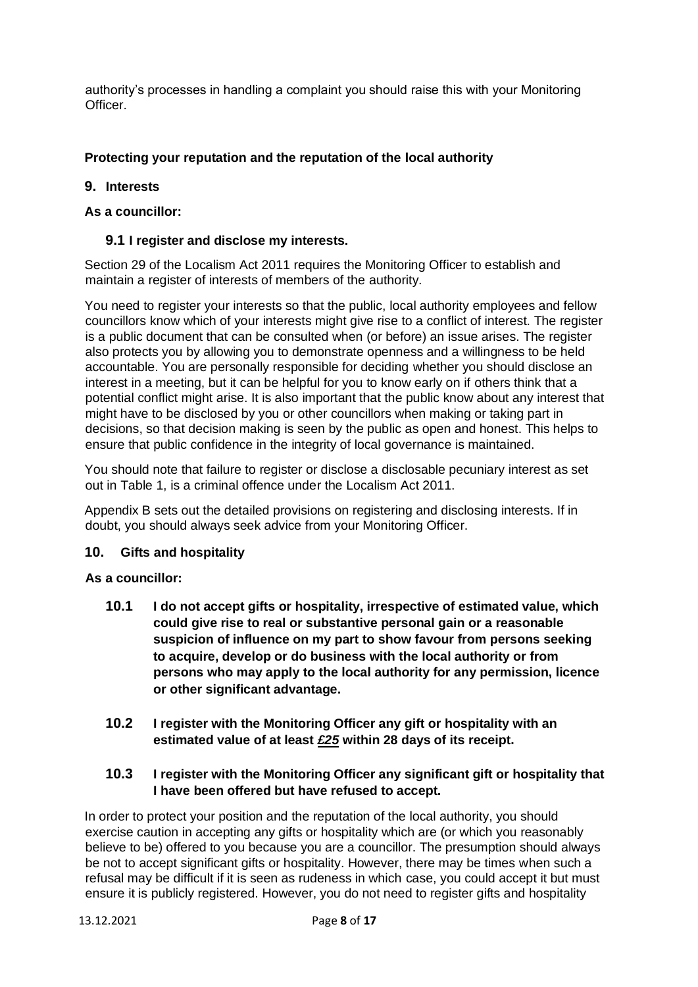authority's processes in handling a complaint you should raise this with your Monitoring Officer.

# **Protecting your reputation and the reputation of the local authority**

# **9. Interests**

# **As a councillor:**

## **9.1 I register and disclose my interests.**

Section 29 of the Localism Act 2011 requires the Monitoring Officer to establish and maintain a register of interests of members of the authority.

You need to register your interests so that the public, local authority employees and fellow councillors know which of your interests might give rise to a conflict of interest. The register is a public document that can be consulted when (or before) an issue arises. The register also protects you by allowing you to demonstrate openness and a willingness to be held accountable. You are personally responsible for deciding whether you should disclose an interest in a meeting, but it can be helpful for you to know early on if others think that a potential conflict might arise. It is also important that the public know about any interest that might have to be disclosed by you or other councillors when making or taking part in decisions, so that decision making is seen by the public as open and honest. This helps to ensure that public confidence in the integrity of local governance is maintained.

You should note that failure to register or disclose a disclosable pecuniary interest as set out in Table 1, is a criminal offence under the Localism Act 2011.

Appendix B sets out the detailed provisions on registering and disclosing interests. If in doubt, you should always seek advice from your Monitoring Officer.

#### **10. Gifts and hospitality**

#### **As a councillor:**

- **10.1 I do not accept gifts or hospitality, irrespective of estimated value, which could give rise to real or substantive personal gain or a reasonable suspicion of influence on my part to show favour from persons seeking to acquire, develop or do business with the local authority or from persons who may apply to the local authority for any permission, licence or other significant advantage.**
- **10.2 I register with the Monitoring Officer any gift or hospitality with an estimated value of at least** *£25* **within 28 days of its receipt.**

# **10.3 I register with the Monitoring Officer any significant gift or hospitality that I have been offered but have refused to accept.**

In order to protect your position and the reputation of the local authority, you should exercise caution in accepting any gifts or hospitality which are (or which you reasonably believe to be) offered to you because you are a councillor. The presumption should always be not to accept significant gifts or hospitality. However, there may be times when such a refusal may be difficult if it is seen as rudeness in which case, you could accept it but must ensure it is publicly registered. However, you do not need to register gifts and hospitality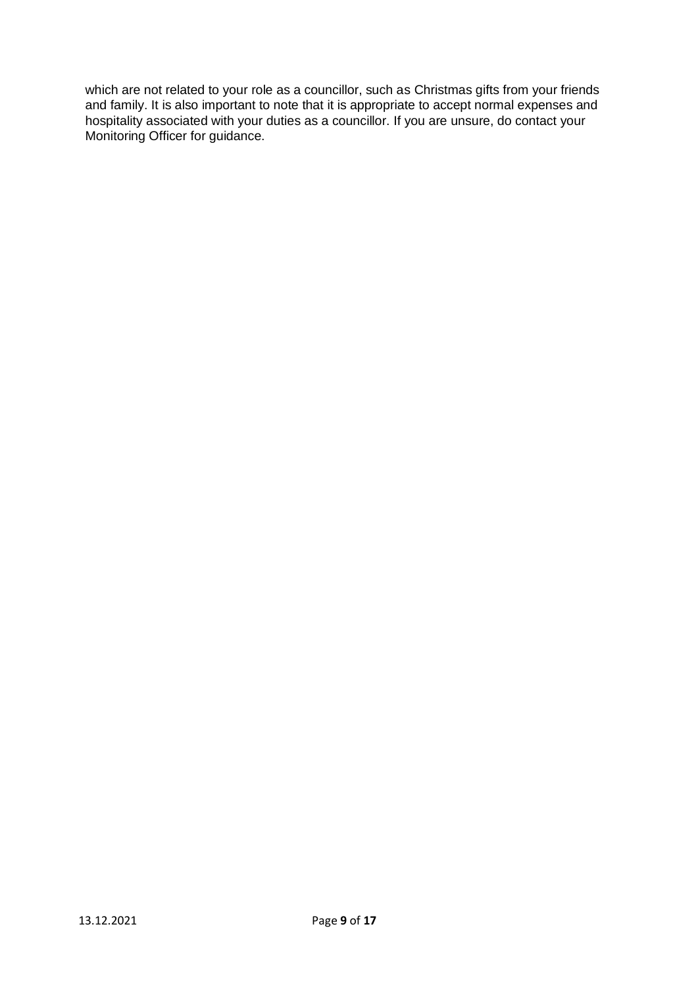which are not related to your role as a councillor, such as Christmas gifts from your friends and family. It is also important to note that it is appropriate to accept normal expenses and hospitality associated with your duties as a councillor. If you are unsure, do contact your Monitoring Officer for guidance.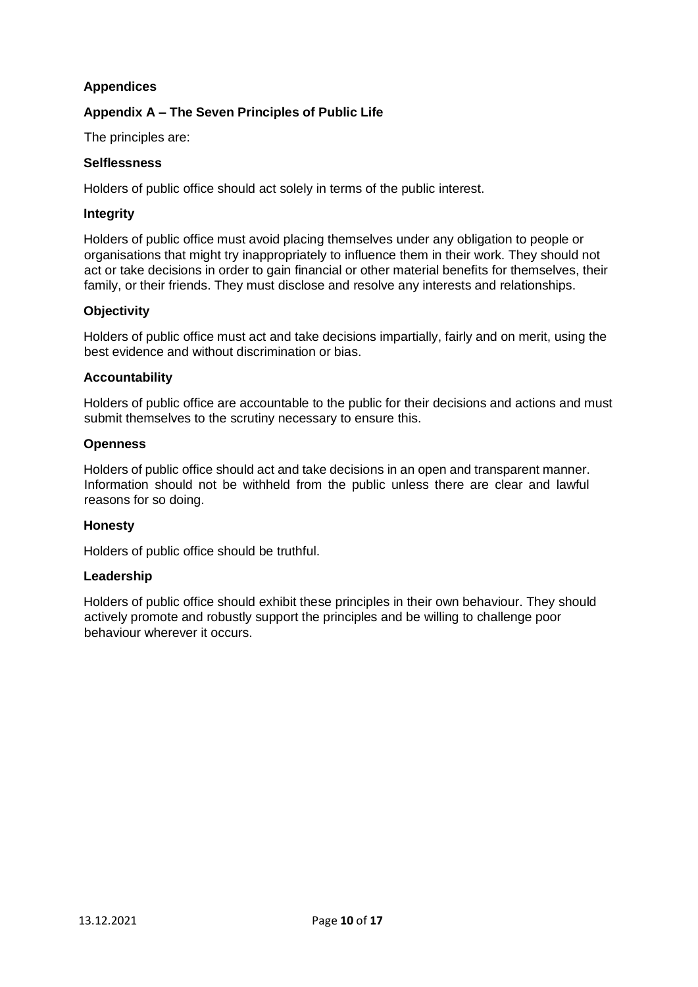# **Appendices**

# **Appendix A – The Seven Principles of Public Life**

The principles are:

#### **Selflessness**

Holders of public office should act solely in terms of the public interest.

#### **Integrity**

Holders of public office must avoid placing themselves under any obligation to people or organisations that might try inappropriately to influence them in their work. They should not act or take decisions in order to gain financial or other material benefits for themselves, their family, or their friends. They must disclose and resolve any interests and relationships.

#### **Objectivity**

Holders of public office must act and take decisions impartially, fairly and on merit, using the best evidence and without discrimination or bias.

#### **Accountability**

Holders of public office are accountable to the public for their decisions and actions and must submit themselves to the scrutiny necessary to ensure this.

#### **Openness**

Holders of public office should act and take decisions in an open and transparent manner. Information should not be withheld from the public unless there are clear and lawful reasons for so doing.

#### **Honesty**

Holders of public office should be truthful.

#### **Leadership**

Holders of public office should exhibit these principles in their own behaviour. They should actively promote and robustly support the principles and be willing to challenge poor behaviour wherever it occurs.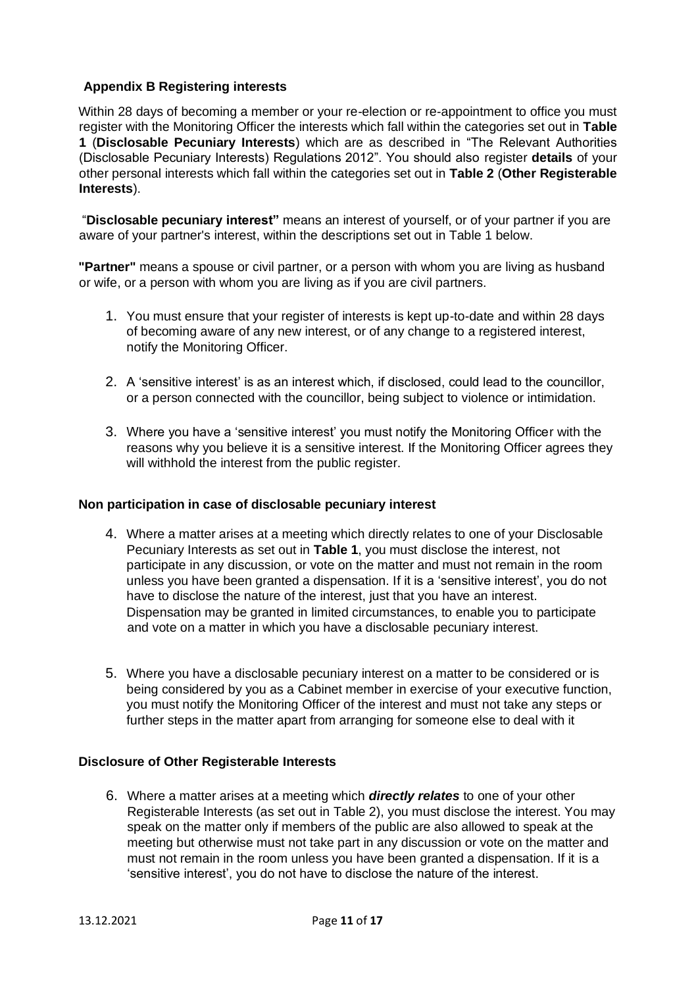# **Appendix B Registering interests**

Within 28 days of becoming a member or your re-election or re-appointment to office you must register with the Monitoring Officer the interests which fall within the categories set out in **Table 1** (**Disclosable Pecuniary Interests**) which are as described in "The Relevant Authorities (Disclosable Pecuniary Interests) Regulations 2012". You should also register **details** of your other personal interests which fall within the categories set out in **Table 2** (**Other Registerable Interests**).

"**Disclosable pecuniary interest"** means an interest of yourself, or of your partner if you are aware of your partner's interest, within the descriptions set out in Table 1 below.

**"Partner"** means a spouse or civil partner, or a person with whom you are living as husband or wife, or a person with whom you are living as if you are civil partners.

- 1. You must ensure that your register of interests is kept up-to-date and within 28 days of becoming aware of any new interest, or of any change to a registered interest, notify the Monitoring Officer.
- 2. A 'sensitive interest' is as an interest which, if disclosed, could lead to the councillor, or a person connected with the councillor, being subject to violence or intimidation.
- 3. Where you have a 'sensitive interest' you must notify the Monitoring Officer with the reasons why you believe it is a sensitive interest. If the Monitoring Officer agrees they will withhold the interest from the public register.

#### **Non participation in case of disclosable pecuniary interest**

- 4. Where a matter arises at a meeting which directly relates to one of your Disclosable Pecuniary Interests as set out in **Table 1**, you must disclose the interest, not participate in any discussion, or vote on the matter and must not remain in the room unless you have been granted a dispensation. If it is a 'sensitive interest', you do not have to disclose the nature of the interest, just that you have an interest. Dispensation may be granted in limited circumstances, to enable you to participate and vote on a matter in which you have a disclosable pecuniary interest.
- 5. Where you have a disclosable pecuniary interest on a matter to be considered or is being considered by you as a Cabinet member in exercise of your executive function, you must notify the Monitoring Officer of the interest and must not take any steps or further steps in the matter apart from arranging for someone else to deal with it

#### **Disclosure of Other Registerable Interests**

6. Where a matter arises at a meeting which *directly relates* to one of your other Registerable Interests (as set out in Table 2), you must disclose the interest. You may speak on the matter only if members of the public are also allowed to speak at the meeting but otherwise must not take part in any discussion or vote on the matter and must not remain in the room unless you have been granted a dispensation. If it is a 'sensitive interest', you do not have to disclose the nature of the interest.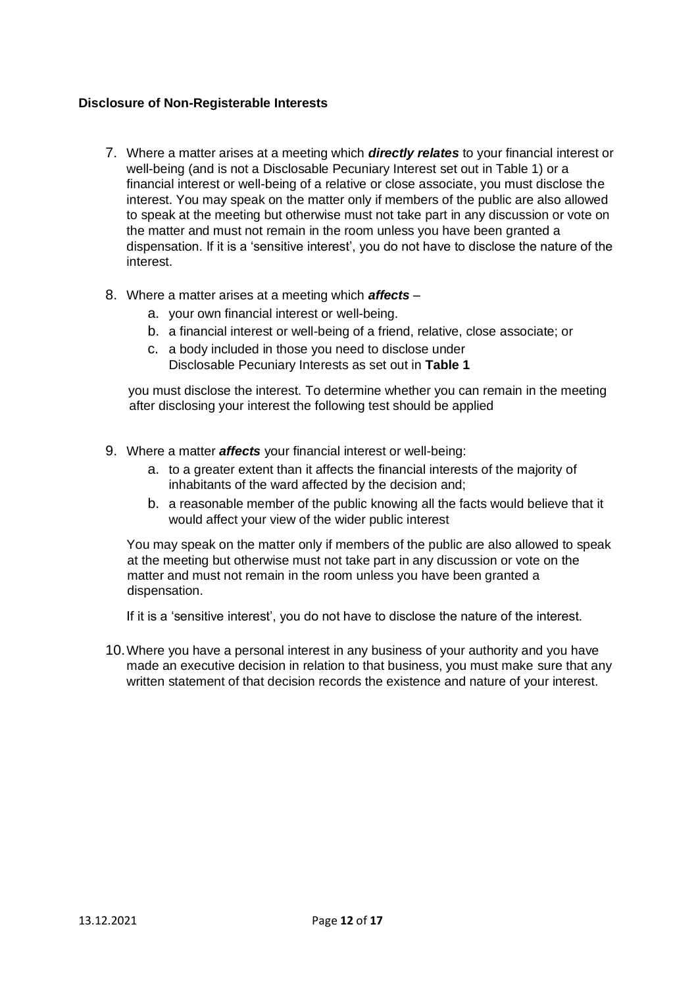#### **Disclosure of Non-Registerable Interests**

- 7. Where a matter arises at a meeting which *directly relates* to your financial interest or well-being (and is not a Disclosable Pecuniary Interest set out in Table 1) or a financial interest or well-being of a relative or close associate, you must disclose the interest. You may speak on the matter only if members of the public are also allowed to speak at the meeting but otherwise must not take part in any discussion or vote on the matter and must not remain in the room unless you have been granted a dispensation. If it is a 'sensitive interest', you do not have to disclose the nature of the interest.
- 8. Where a matter arises at a meeting which *affects*
	- a. your own financial interest or well-being.
	- b. a financial interest or well-being of a friend, relative, close associate; or
	- c. a body included in those you need to disclose under Disclosable Pecuniary Interests as set out in **Table 1**

you must disclose the interest. To determine whether you can remain in the meeting after disclosing your interest the following test should be applied

- 9. Where a matter *affects* your financial interest or well-being:
	- a. to a greater extent than it affects the financial interests of the majority of inhabitants of the ward affected by the decision and;
	- b. a reasonable member of the public knowing all the facts would believe that it would affect your view of the wider public interest

You may speak on the matter only if members of the public are also allowed to speak at the meeting but otherwise must not take part in any discussion or vote on the matter and must not remain in the room unless you have been granted a dispensation.

If it is a 'sensitive interest', you do not have to disclose the nature of the interest.

10.Where you have a personal interest in any business of your authority and you have made an executive decision in relation to that business, you must make sure that any written statement of that decision records the existence and nature of your interest.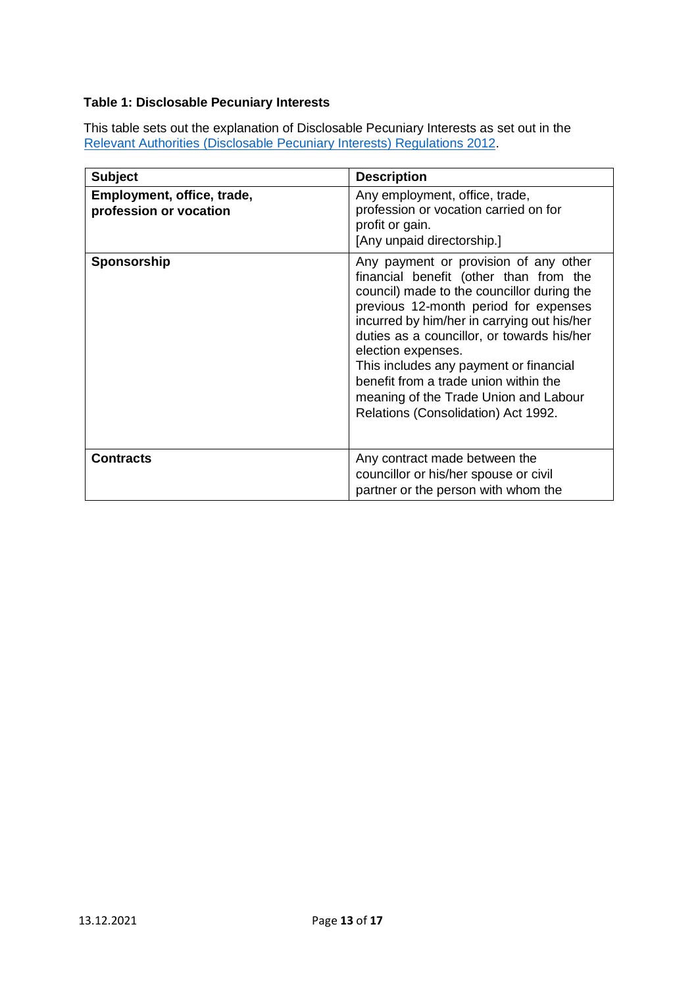# **Table 1: Disclosable Pecuniary Interests**

This table sets out the explanation of Disclosable Pecuniary Interests as set out in the [Relevant](https://www.legislation.gov.uk/uksi/2012/1464/made) [Authorities](https://www.legislation.gov.uk/uksi/2012/1464/made) [\(Disclosable](https://www.legislation.gov.uk/uksi/2012/1464/made) [Pecuniary](https://www.legislation.gov.uk/uksi/2012/1464/made) [Interests\) Regulations](https://www.legislation.gov.uk/uksi/2012/1464/made) [2012.](https://www.legislation.gov.uk/uksi/2012/1464/made)

| <b>Subject</b>                                       | <b>Description</b>                                                                                                                                                                                                                                                                                                                                                                                                                                           |
|------------------------------------------------------|--------------------------------------------------------------------------------------------------------------------------------------------------------------------------------------------------------------------------------------------------------------------------------------------------------------------------------------------------------------------------------------------------------------------------------------------------------------|
| Employment, office, trade,<br>profession or vocation | Any employment, office, trade,<br>profession or vocation carried on for<br>profit or gain.<br>[Any unpaid directorship.]                                                                                                                                                                                                                                                                                                                                     |
| Sponsorship                                          | Any payment or provision of any other<br>financial benefit (other than from the<br>council) made to the councillor during the<br>previous 12-month period for expenses<br>incurred by him/her in carrying out his/her<br>duties as a councillor, or towards his/her<br>election expenses.<br>This includes any payment or financial<br>benefit from a trade union within the<br>meaning of the Trade Union and Labour<br>Relations (Consolidation) Act 1992. |
| <b>Contracts</b>                                     | Any contract made between the<br>councillor or his/her spouse or civil<br>partner or the person with whom the                                                                                                                                                                                                                                                                                                                                                |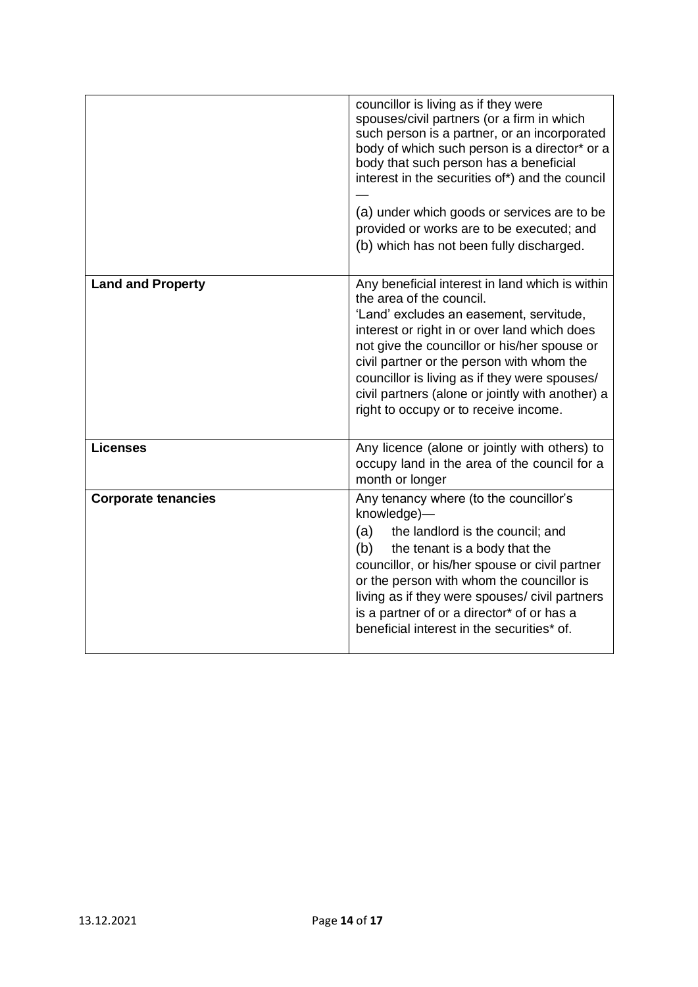|                            | councillor is living as if they were<br>spouses/civil partners (or a firm in which<br>such person is a partner, or an incorporated<br>body of which such person is a director* or a<br>body that such person has a beneficial<br>interest in the securities of*) and the council<br>(a) under which goods or services are to be<br>provided or works are to be executed; and<br>(b) which has not been fully discharged. |
|----------------------------|--------------------------------------------------------------------------------------------------------------------------------------------------------------------------------------------------------------------------------------------------------------------------------------------------------------------------------------------------------------------------------------------------------------------------|
| <b>Land and Property</b>   | Any beneficial interest in land which is within<br>the area of the council.<br>'Land' excludes an easement, servitude,<br>interest or right in or over land which does<br>not give the councillor or his/her spouse or<br>civil partner or the person with whom the<br>councillor is living as if they were spouses/<br>civil partners (alone or jointly with another) a<br>right to occupy or to receive income.        |
| <b>Licenses</b>            | Any licence (alone or jointly with others) to<br>occupy land in the area of the council for a<br>month or longer                                                                                                                                                                                                                                                                                                         |
| <b>Corporate tenancies</b> | Any tenancy where (to the councillor's<br>knowledge)-<br>(a)<br>the landlord is the council; and<br>(b)<br>the tenant is a body that the<br>councillor, or his/her spouse or civil partner<br>or the person with whom the councillor is<br>living as if they were spouses/ civil partners<br>is a partner of or a director* of or has a<br>beneficial interest in the securities* of.                                    |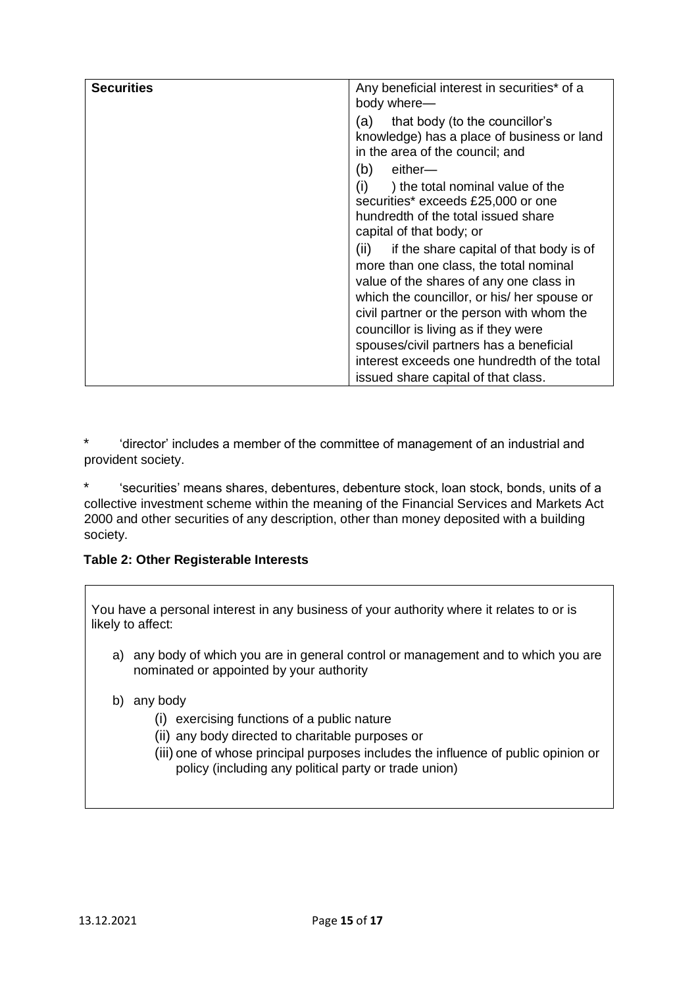| <b>Securities</b> | Any beneficial interest in securities* of a     |
|-------------------|-------------------------------------------------|
|                   | body where-                                     |
|                   |                                                 |
|                   | that body (to the councillor's<br>(a)           |
|                   | knowledge) has a place of business or land      |
|                   | in the area of the council; and                 |
|                   | (b)<br>either—                                  |
|                   | (i)<br>) the total nominal value of the         |
|                   | securities* exceeds £25,000 or one              |
|                   | hundredth of the total issued share             |
|                   |                                                 |
|                   | capital of that body; or                        |
|                   | if the share capital of that body is of<br>(ii) |
|                   | more than one class, the total nominal          |
|                   | value of the shares of any one class in         |
|                   | which the councillor, or his/ her spouse or     |
|                   |                                                 |
|                   | civil partner or the person with whom the       |
|                   | councillor is living as if they were            |
|                   | spouses/civil partners has a beneficial         |
|                   | interest exceeds one hundredth of the total     |
|                   | issued share capital of that class.             |

\* 'director' includes a member of the committee of management of an industrial and provident society.

\* 'securities' means shares, debentures, debenture stock, loan stock, bonds, units of a collective investment scheme within the meaning of the Financial Services and Markets Act 2000 and other securities of any description, other than money deposited with a building society.

#### **Table 2: Other Registerable Interests**

You have a personal interest in any business of your authority where it relates to or is likely to affect:

- a) any body of which you are in general control or management and to which you are nominated or appointed by your authority
- b) any body
	- (i) exercising functions of a public nature
	- (ii) any body directed to charitable purposes or
	- (iii) one of whose principal purposes includes the influence of public opinion or policy (including any political party or trade union)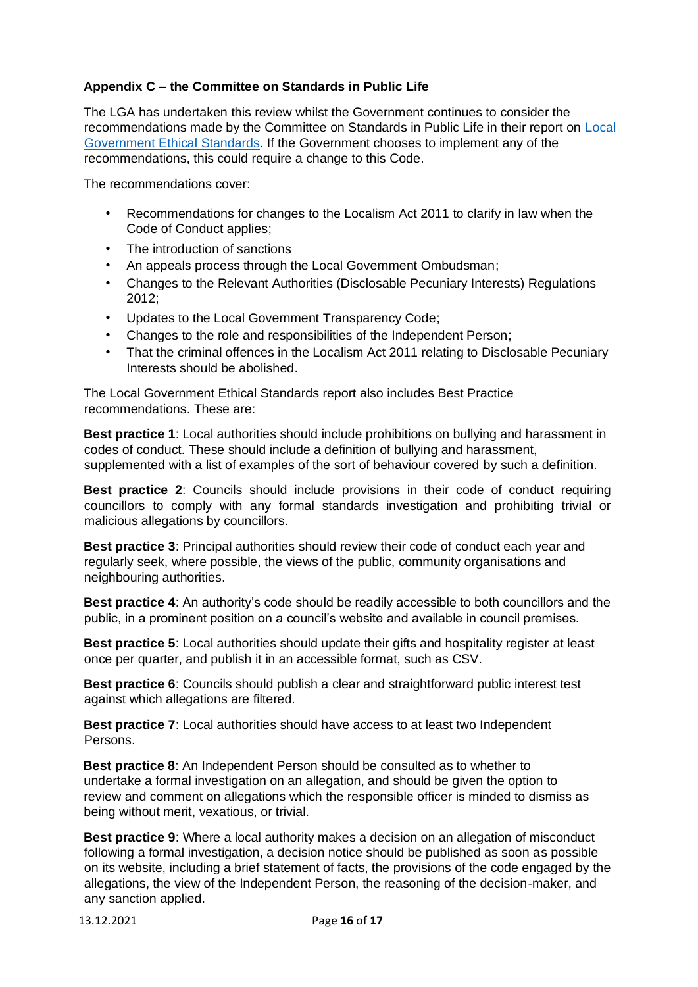# **Appendix C – the Committee on Standards in Public Life**

The LGA has undertaken this review whilst the Government continues to consider the recommendations made by the Committee on Standards in Public Life in their report on [Local](https://www.gov.uk/government/publications/local-government-ethical-standards-report) [Government](https://www.gov.uk/government/publications/local-government-ethical-standards-report) [Ethical](https://www.gov.uk/government/publications/local-government-ethical-standards-report) [Standards.](https://www.gov.uk/government/publications/local-government-ethical-standards-report) If the Government chooses to implement any of the recommendations, this could require a change to this Code.

The recommendations cover:

- Recommendations for changes to the Localism Act 2011 to clarify in law when the Code of Conduct applies;
- The introduction of sanctions
- An appeals process through the Local Government Ombudsman;
- Changes to the Relevant Authorities (Disclosable Pecuniary Interests) Regulations 2012;
- Updates to the Local Government Transparency Code;
- Changes to the role and responsibilities of the Independent Person;
- That the criminal offences in the Localism Act 2011 relating to Disclosable Pecuniary Interests should be abolished.

The Local Government Ethical Standards report also includes Best Practice recommendations. These are:

**Best practice 1**: Local authorities should include prohibitions on bullying and harassment in codes of conduct. These should include a definition of bullying and harassment, supplemented with a list of examples of the sort of behaviour covered by such a definition.

**Best practice 2**: Councils should include provisions in their code of conduct requiring councillors to comply with any formal standards investigation and prohibiting trivial or malicious allegations by councillors.

**Best practice 3**: Principal authorities should review their code of conduct each year and regularly seek, where possible, the views of the public, community organisations and neighbouring authorities.

**Best practice 4**: An authority's code should be readily accessible to both councillors and the public, in a prominent position on a council's website and available in council premises.

**Best practice 5**: Local authorities should update their gifts and hospitality register at least once per quarter, and publish it in an accessible format, such as CSV.

**Best practice 6**: Councils should publish a clear and straightforward public interest test against which allegations are filtered.

**Best practice 7:** Local authorities should have access to at least two Independent Persons.

**Best practice 8**: An Independent Person should be consulted as to whether to undertake a formal investigation on an allegation, and should be given the option to review and comment on allegations which the responsible officer is minded to dismiss as being without merit, vexatious, or trivial.

**Best practice 9**: Where a local authority makes a decision on an allegation of misconduct following a formal investigation, a decision notice should be published as soon as possible on its website, including a brief statement of facts, the provisions of the code engaged by the allegations, the view of the Independent Person, the reasoning of the decision-maker, and any sanction applied.